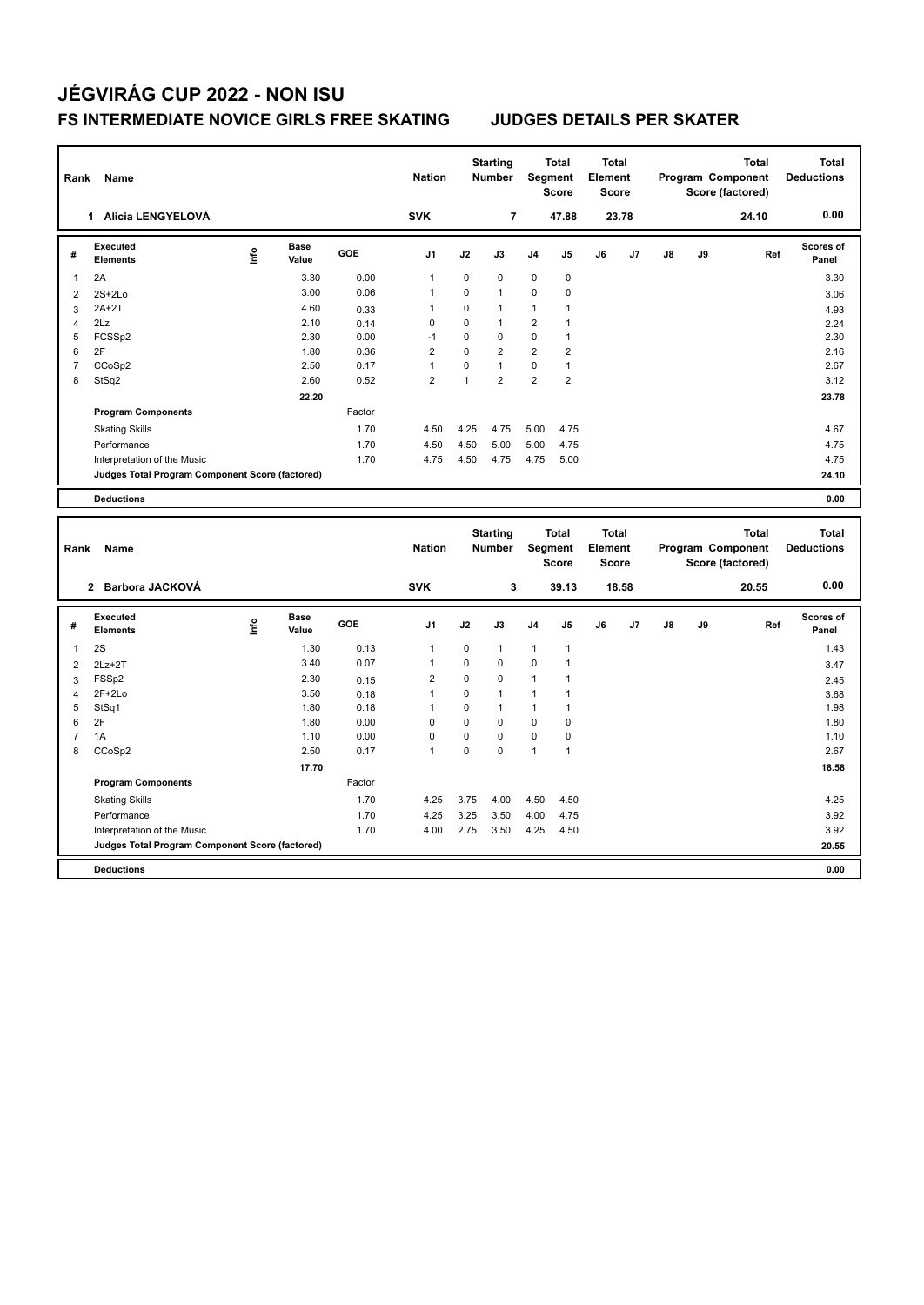| Rank           | Name                                            |      |                      |        | <b>Nation</b>  |              | <b>Starting</b><br><b>Number</b> | Segment        | <b>Total</b><br><b>Score</b> | <b>Total</b><br>Element<br><b>Score</b> |       |    |    | <b>Total</b><br>Program Component<br>Score (factored) | <b>Total</b><br><b>Deductions</b> |
|----------------|-------------------------------------------------|------|----------------------|--------|----------------|--------------|----------------------------------|----------------|------------------------------|-----------------------------------------|-------|----|----|-------------------------------------------------------|-----------------------------------|
|                | 1 Alicia LENGYELOVÁ                             |      |                      |        | <b>SVK</b>     |              | 7                                |                | 47.88                        |                                         | 23.78 |    |    | 24.10                                                 | 0.00                              |
| #              | <b>Executed</b><br><b>Elements</b>              | lnfo | <b>Base</b><br>Value | GOE    | J <sub>1</sub> | J2           | J3                               | J4             | J5                           | J6                                      | J7    | J8 | J9 | Ref                                                   | Scores of<br>Panel                |
| 1              | 2A                                              |      | 3.30                 | 0.00   | $\mathbf{1}$   | $\pmb{0}$    | 0                                | $\pmb{0}$      | 0                            |                                         |       |    |    |                                                       | 3.30                              |
| $\overline{2}$ | $2S+2Lo$                                        |      | 3.00                 | 0.06   | $\mathbf{1}$   | $\mathbf 0$  | $\mathbf{1}$                     | 0              | 0                            |                                         |       |    |    |                                                       | 3.06                              |
| 3              | $2A+2T$                                         |      | 4.60                 | 0.33   | $\mathbf{1}$   | $\mathbf 0$  | $\mathbf{1}$                     | $\mathbf{1}$   | 1                            |                                         |       |    |    |                                                       | 4.93                              |
| $\overline{4}$ | 2Lz                                             |      | 2.10                 | 0.14   | 0              | $\mathbf 0$  | $\mathbf{1}$                     | 2              | $\mathbf{1}$                 |                                         |       |    |    |                                                       | 2.24                              |
| 5              | FCSS <sub>p2</sub>                              |      | 2.30                 | 0.00   | $-1$           | $\mathbf 0$  | $\mathbf 0$                      | 0              | $\mathbf{1}$                 |                                         |       |    |    |                                                       | 2.30                              |
| 6              | 2F                                              |      | 1.80                 | 0.36   | $\overline{2}$ | $\Omega$     | $\overline{2}$                   | $\overline{2}$ | $\overline{2}$               |                                         |       |    |    |                                                       | 2.16                              |
| $\overline{7}$ | CCoSp2                                          |      | 2.50                 | 0.17   | $\mathbf{1}$   | $\pmb{0}$    | $\mathbf{1}$                     | 0              | $\mathbf{1}$                 |                                         |       |    |    |                                                       | 2.67                              |
| 8              | StSq2                                           |      | 2.60                 | 0.52   | $\overline{2}$ | $\mathbf{1}$ | $\overline{2}$                   | $\overline{2}$ | $\overline{2}$               |                                         |       |    |    |                                                       | 3.12                              |
|                |                                                 |      | 22.20                |        |                |              |                                  |                |                              |                                         |       |    |    |                                                       | 23.78                             |
|                | <b>Program Components</b>                       |      |                      | Factor |                |              |                                  |                |                              |                                         |       |    |    |                                                       |                                   |
|                | <b>Skating Skills</b>                           |      |                      | 1.70   | 4.50           | 4.25         | 4.75                             | 5.00           | 4.75                         |                                         |       |    |    |                                                       | 4.67                              |
|                | Performance                                     |      |                      | 1.70   | 4.50           | 4.50         | 5.00                             | 5.00           | 4.75                         |                                         |       |    |    |                                                       | 4.75                              |
|                | Interpretation of the Music                     |      |                      | 1.70   | 4.75           | 4.50         | 4.75                             | 4.75           | 5.00                         |                                         |       |    |    |                                                       | 4.75                              |
|                | Judges Total Program Component Score (factored) |      |                      |        |                |              |                                  |                |                              |                                         |       |    |    |                                                       | 24.10                             |
|                | <b>Deductions</b>                               |      |                      |        |                |              |                                  |                |                              |                                         |       |    |    |                                                       | 0.00                              |
|                |                                                 |      |                      |        |                |              |                                  |                |                              |                                         |       |    |    |                                                       |                                   |
|                |                                                 |      |                      |        |                |              |                                  |                |                              |                                         |       |    |    |                                                       |                                   |
|                |                                                 |      |                      |        |                |              | <b>Starting</b>                  |                | <b>Total</b>                 | <b>Total</b>                            |       |    |    | <b>Total</b>                                          | <b>Total</b>                      |
| Rank           | Name                                            |      |                      |        | <b>Nation</b>  |              | <b>Number</b>                    |                | Segment                      | <b>Element</b>                          |       |    |    | Program Component                                     | <b>Deductions</b>                 |
|                |                                                 |      |                      |        |                |              |                                  |                | <b>Score</b>                 | <b>Score</b>                            |       |    |    | Score (factored)                                      |                                   |
|                | 2 Barbora JACKOVÁ                               |      |                      |        | <b>SVK</b>     |              | 3                                |                | 39.13                        |                                         | 18.58 |    |    | 20.55                                                 | 0.00                              |
|                | <b>Executed</b>                                 |      | <b>Base</b>          |        |                |              |                                  |                |                              |                                         |       |    |    |                                                       | Scores of                         |
| #              | <b>Elements</b>                                 | lnfo | Value                | GOE    | J1             | J2           | J3                               | J4             | J5                           | J6                                      | J7    | J8 | J9 | Ref                                                   | Panel                             |
| 1              | 2S                                              |      | 1.30                 | 0.13   | $\mathbf{1}$   | $\mathbf 0$  | $\mathbf{1}$                     | $\mathbf{1}$   | $\mathbf{1}$                 |                                         |       |    |    |                                                       | 1.43                              |
| $\overline{c}$ | $2Lz + 2T$                                      |      | 3.40                 | 0.07   | $\mathbf{1}$   | $\pmb{0}$    | 0                                | 0              | $\mathbf{1}$                 |                                         |       |    |    |                                                       | 3.47                              |
| 3              | FSSp2                                           |      | 2.30                 | 0.15   | $\overline{2}$ | $\mathbf 0$  | 0                                | $\mathbf{1}$   | $\mathbf{1}$                 |                                         |       |    |    |                                                       | 2.45                              |
| $\overline{4}$ | 2F+2Lo                                          |      | 3.50                 | 0.18   | $\mathbf{1}$   | $\mathbf 0$  | $\mathbf{1}$                     | $\mathbf{1}$   | $\mathbf{1}$                 |                                         |       |    |    |                                                       | 3.68                              |
| 5              | StSq1                                           |      | 1.80                 | 0.18   | $\mathbf{1}$   | $\mathbf 0$  | $\mathbf{1}$                     | 1              | $\mathbf{1}$                 |                                         |       |    |    |                                                       | 1.98                              |
| 6              | 2F                                              |      | 1.80                 | 0.00   | $\mathbf 0$    | $\mathbf 0$  | $\Omega$                         | 0              | 0                            |                                         |       |    |    |                                                       | 1.80                              |
| $\overline{7}$ | 1A                                              |      | 1.10                 | 0.00   | 0              | $\pmb{0}$    | $\mathbf 0$                      | 0              | 0                            |                                         |       |    |    |                                                       | 1.10                              |
| 8              | CCoSp2                                          |      | 2.50                 | 0.17   | $\mathbf{1}$   | $\mathbf 0$  | $\mathbf 0$                      | $\mathbf{1}$   | $\mathbf{1}$                 |                                         |       |    |    |                                                       | 2.67                              |
|                |                                                 |      | 17.70                |        |                |              |                                  |                |                              |                                         |       |    |    |                                                       | 18.58                             |
|                | <b>Program Components</b>                       |      |                      | Factor |                |              |                                  |                |                              |                                         |       |    |    |                                                       |                                   |
|                | <b>Skating Skills</b>                           |      |                      | 1.70   | 4.25           | 3.75         | 4.00                             | 4.50           | 4.50                         |                                         |       |    |    |                                                       | 4.25                              |
|                | Performance                                     |      |                      | 1.70   | 4.25           | 3.25         | 3.50                             | 4.00           | 4.75                         |                                         |       |    |    |                                                       | 3.92                              |
|                | Interpretation of the Music                     |      |                      | 1.70   | 4.00           | 2.75         | 3.50                             | 4.25           | 4.50                         |                                         |       |    |    |                                                       | 3.92                              |
|                | Judges Total Program Component Score (factored) |      |                      |        |                |              |                                  |                |                              |                                         |       |    |    |                                                       | 20.55                             |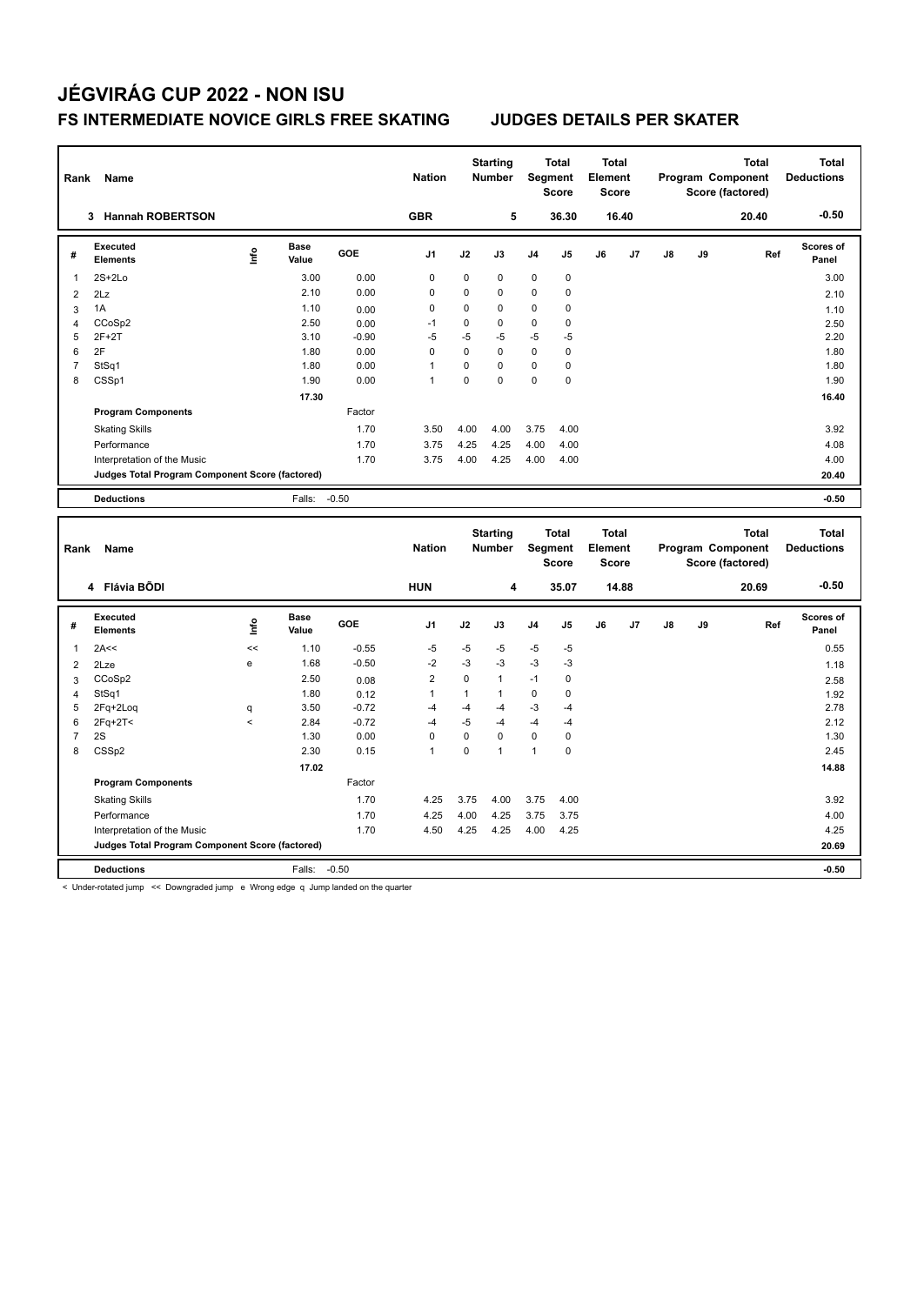| Rank           | Name                                                                           |              |                      |                    | <b>Nation</b>  |              | <b>Starting</b><br><b>Number</b> |                | <b>Total</b><br>Segment<br><b>Score</b> | <b>Total</b><br>Element<br><b>Score</b> |       |    |    | <b>Total</b><br>Program Component<br>Score (factored) |     | <b>Total</b><br><b>Deductions</b> |
|----------------|--------------------------------------------------------------------------------|--------------|----------------------|--------------------|----------------|--------------|----------------------------------|----------------|-----------------------------------------|-----------------------------------------|-------|----|----|-------------------------------------------------------|-----|-----------------------------------|
|                | 3 Hannah ROBERTSON                                                             |              |                      |                    | <b>GBR</b>     |              | 5                                |                | 36.30                                   |                                         | 16.40 |    |    | 20.40                                                 |     | $-0.50$                           |
| #              | <b>Executed</b><br><b>Elements</b>                                             | lnfo         | <b>Base</b><br>Value | GOE                | J1             | J2           | J3                               | J <sub>4</sub> | J5                                      | J6                                      | J7    | J8 | J9 |                                                       | Ref | Scores of<br>Panel                |
| 1              | $2S+2Lo$                                                                       |              | 3.00                 | 0.00               | $\mathbf 0$    | 0            | 0                                | $\mathbf 0$    | $\mathbf 0$                             |                                         |       |    |    |                                                       |     | 3.00                              |
| $\overline{2}$ | 2Lz                                                                            |              | 2.10                 | 0.00               | $\mathbf 0$    | 0            | 0                                | $\mathbf 0$    | $\mathbf 0$                             |                                         |       |    |    |                                                       |     | 2.10                              |
| 3              | 1A                                                                             |              | 1.10                 | 0.00               | $\mathbf 0$    | $\mathbf 0$  | $\mathbf 0$                      | 0              | 0                                       |                                         |       |    |    |                                                       |     | 1.10                              |
| $\overline{4}$ | CCoSp2                                                                         |              | 2.50                 | 0.00               | $-1$           | $\mathbf 0$  | 0                                | $\mathbf 0$    | 0                                       |                                         |       |    |    |                                                       |     | 2.50                              |
| 5              | $2F+2T$                                                                        |              | 3.10                 | $-0.90$            | $-5$           | $-5$         | $-5$                             | $-5$           | -5                                      |                                         |       |    |    |                                                       |     | 2.20                              |
| 6              | 2F                                                                             |              | 1.80                 | 0.00               | $\pmb{0}$      | 0            | 0                                | $\mathbf 0$    | $\mathbf 0$                             |                                         |       |    |    |                                                       |     | 1.80                              |
| $\overline{7}$ | StSq1                                                                          |              | 1.80                 | 0.00               | $\mathbf{1}$   | $\pmb{0}$    | 0                                | $\pmb{0}$      | $\mathbf 0$                             |                                         |       |    |    |                                                       |     | 1.80                              |
| 8              | CSSp1                                                                          |              | 1.90                 | 0.00               | $\overline{1}$ | $\mathbf 0$  | 0                                | $\pmb{0}$      | $\mathbf 0$                             |                                         |       |    |    |                                                       |     | 1.90                              |
|                |                                                                                |              | 17.30                |                    |                |              |                                  |                |                                         |                                         |       |    |    |                                                       |     | 16.40                             |
|                | <b>Program Components</b>                                                      |              |                      | Factor             |                |              |                                  |                |                                         |                                         |       |    |    |                                                       |     |                                   |
|                | <b>Skating Skills</b>                                                          |              |                      | 1.70               | 3.50           | 4.00         | 4.00                             | 3.75           | 4.00                                    |                                         |       |    |    |                                                       |     | 3.92                              |
|                | Performance                                                                    |              |                      | 1.70               | 3.75           | 4.25         | 4.25                             | 4.00           | 4.00                                    |                                         |       |    |    |                                                       |     | 4.08                              |
|                | Interpretation of the Music                                                    |              |                      | 1.70               | 3.75           | 4.00         | 4.25                             | 4.00           | 4.00                                    |                                         |       |    |    |                                                       |     | 4.00                              |
|                | Judges Total Program Component Score (factored)                                |              |                      |                    |                |              |                                  |                |                                         |                                         |       |    |    |                                                       |     | 20.40                             |
|                | <b>Deductions</b>                                                              |              | Falls:               | $-0.50$            |                |              |                                  |                |                                         |                                         |       |    |    |                                                       |     | $-0.50$                           |
|                |                                                                                |              |                      |                    |                |              |                                  |                |                                         |                                         |       |    |    |                                                       |     |                                   |
|                |                                                                                |              |                      |                    |                |              |                                  |                |                                         |                                         |       |    |    |                                                       |     |                                   |
|                |                                                                                |              |                      |                    |                |              | <b>Starting</b>                  |                | <b>Total</b>                            | <b>Total</b>                            |       |    |    | <b>Total</b>                                          |     | <b>Total</b>                      |
| Rank           | Name                                                                           |              |                      |                    | <b>Nation</b>  |              | <b>Number</b>                    |                | Segment                                 | Element                                 |       |    |    | Program Component                                     |     | <b>Deductions</b>                 |
|                |                                                                                |              |                      |                    |                |              |                                  |                | <b>Score</b>                            | <b>Score</b>                            |       |    |    | Score (factored)                                      |     |                                   |
|                | 4 Flávia BÕDI                                                                  |              |                      |                    | <b>HUN</b>     |              | 4                                |                | 35.07                                   |                                         | 14.88 |    |    | 20.69                                                 |     | $-0.50$                           |
|                | Executed                                                                       |              | Base                 |                    |                |              |                                  |                |                                         |                                         |       |    |    |                                                       |     | Scores of                         |
| #              | <b>Elements</b>                                                                | ١nf٥         | Value                | GOE                | J1             | J2           | J3                               | J <sub>4</sub> | J5                                      | J6                                      | J7    | J8 | J9 |                                                       | Ref | Panel                             |
| 1              | 2A<<                                                                           | <<           | 1.10                 |                    |                |              |                                  |                |                                         |                                         |       |    |    |                                                       |     |                                   |
|                |                                                                                | e            | 1.68                 | $-0.55$<br>$-0.50$ | $-5$<br>$-2$   | -5<br>$-3$   | -5<br>$-3$                       | $-5$<br>$-3$   | $-5$<br>$-3$                            |                                         |       |    |    |                                                       |     | 0.55                              |
| $\overline{2}$ | 2Lze<br>CCoSp2                                                                 |              | 2.50                 |                    | $\overline{2}$ | $\mathbf 0$  | $\mathbf{1}$                     | $-1$           | 0                                       |                                         |       |    |    |                                                       |     | 1.18                              |
| 3              | StSq1                                                                          |              | 1.80                 | 0.08               | $\mathbf{1}$   | $\mathbf{1}$ | 1                                | $\mathbf 0$    | $\mathbf 0$                             |                                         |       |    |    |                                                       |     | 2.58                              |
| 4<br>5         |                                                                                |              | 3.50                 | 0.12<br>$-0.72$    | $-4$           | $-4$         | $-4$                             | $-3$           | $-4$                                    |                                         |       |    |    |                                                       |     | 1.92<br>2.78                      |
| 6              | 2Fq+2Loq                                                                       | q<br>$\prec$ | 2.84                 | $-0.72$            | -4             | $-5$         | $-4$                             | $-4$           | $-4$                                    |                                         |       |    |    |                                                       |     | 2.12                              |
| $\overline{7}$ | 2Fq+2T<<br>2S                                                                  |              | 1.30                 | 0.00               | $\mathbf 0$    | $\pmb{0}$    | 0                                | $\pmb{0}$      | $\mathbf 0$                             |                                         |       |    |    |                                                       |     | 1.30                              |
| 8              | CSS <sub>p2</sub>                                                              |              | 2.30                 | 0.15               | $\mathbf{1}$   | $\mathbf 0$  | $\mathbf{1}$                     | $\overline{1}$ | $\mathbf 0$                             |                                         |       |    |    |                                                       |     | 2.45                              |
|                |                                                                                |              | 17.02                |                    |                |              |                                  |                |                                         |                                         |       |    |    |                                                       |     | 14.88                             |
|                | <b>Program Components</b>                                                      |              |                      | Factor             |                |              |                                  |                |                                         |                                         |       |    |    |                                                       |     |                                   |
|                |                                                                                |              |                      |                    |                |              |                                  |                |                                         |                                         |       |    |    |                                                       |     |                                   |
|                | <b>Skating Skills</b>                                                          |              |                      | 1.70               | 4.25           | 3.75         | 4.00                             | 3.75           | 4.00                                    |                                         |       |    |    |                                                       |     | 3.92                              |
|                | Performance                                                                    |              |                      | 1.70               | 4.25           | 4.00         | 4.25                             | 3.75           | 3.75                                    |                                         |       |    |    |                                                       |     | 4.00                              |
|                | Interpretation of the Music<br>Judges Total Program Component Score (factored) |              |                      | 1.70               | 4.50           | 4.25         | 4.25                             | 4.00           | 4.25                                    |                                         |       |    |    |                                                       |     | 4.25<br>20.69                     |

< Under-rotated jump << Downgraded jump e Wrong edge q Jump landed on the quarter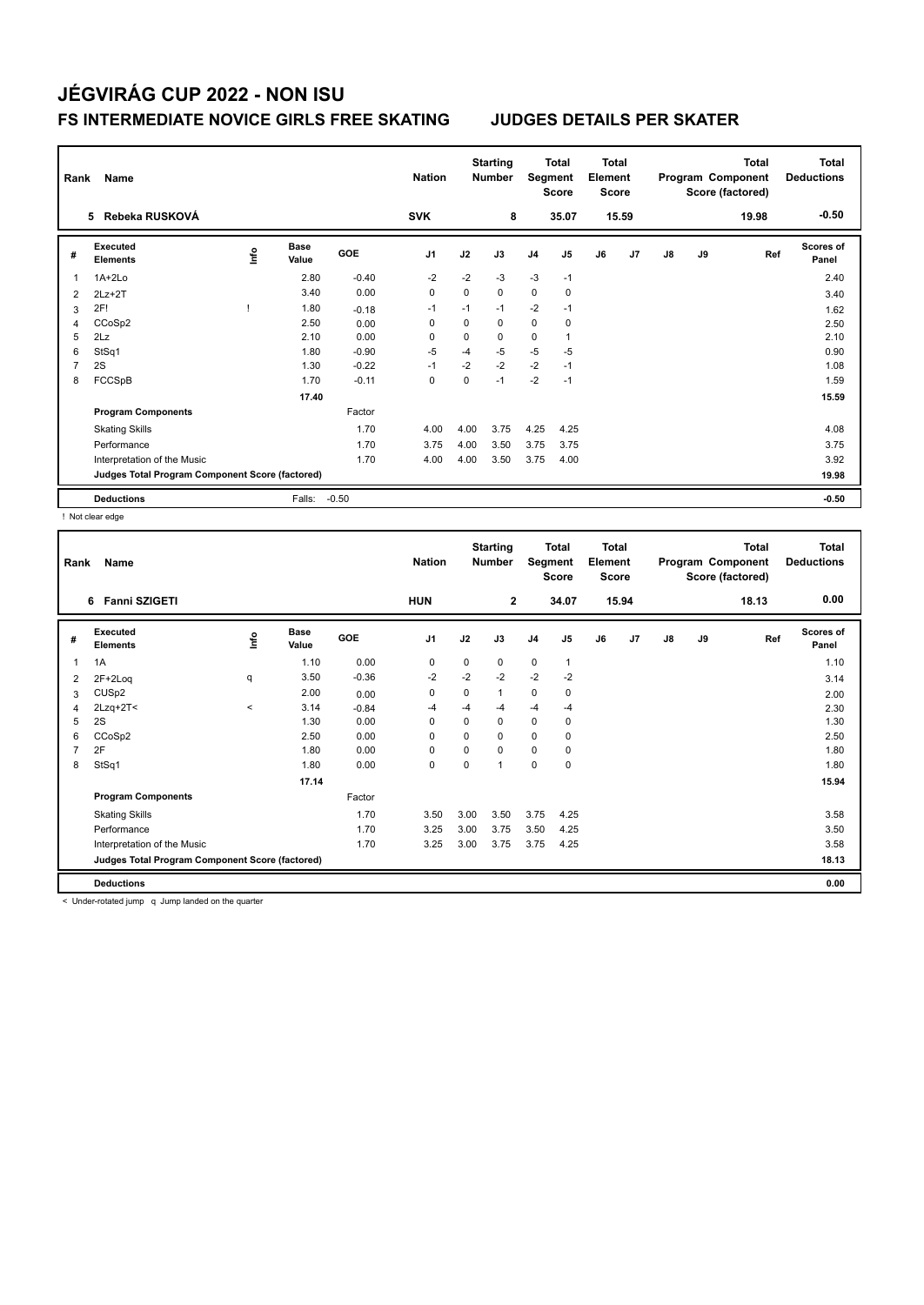| Rank | Name                                            |    |               |            | <b>Nation</b>  |             | <b>Starting</b><br><b>Number</b> |                | Total<br>Segment<br><b>Score</b> | <b>Total</b><br>Element<br><b>Score</b> |       |    |    | <b>Total</b><br>Program Component<br>Score (factored) | <b>Total</b><br><b>Deductions</b> |
|------|-------------------------------------------------|----|---------------|------------|----------------|-------------|----------------------------------|----------------|----------------------------------|-----------------------------------------|-------|----|----|-------------------------------------------------------|-----------------------------------|
|      | 5 Rebeka RUSKOVÁ                                |    |               |            | <b>SVK</b>     |             | 8                                |                | 35.07                            |                                         | 15.59 |    |    | 19.98                                                 | $-0.50$                           |
| #    | Executed<br><b>Elements</b>                     | ۴ů | Base<br>Value | <b>GOE</b> | J <sub>1</sub> | J2          | J3                               | J <sub>4</sub> | J <sub>5</sub>                   | J6                                      | J7    | J8 | J9 | Ref                                                   | Scores of<br>Panel                |
| 1    | $1A+2Lo$                                        |    | 2.80          | $-0.40$    | $-2$           | $-2$        | $-3$                             | $-3$           | $-1$                             |                                         |       |    |    |                                                       | 2.40                              |
| 2    | $2Lz + 2T$                                      |    | 3.40          | 0.00       | $\mathbf 0$    | 0           | $\mathbf 0$                      | 0              | $\mathbf 0$                      |                                         |       |    |    |                                                       | 3.40                              |
| 3    | 2F!                                             |    | 1.80          | $-0.18$    | $-1$           | $-1$        | $-1$                             | $-2$           | $-1$                             |                                         |       |    |    |                                                       | 1.62                              |
| 4    | CCoSp2                                          |    | 2.50          | 0.00       | $\Omega$       | $\Omega$    | $\Omega$                         | 0              | $\mathbf 0$                      |                                         |       |    |    |                                                       | 2.50                              |
| 5    | 2Lz                                             |    | 2.10          | 0.00       | $\Omega$       | 0           | 0                                | 0              |                                  |                                         |       |    |    |                                                       | 2.10                              |
| 6    | StSq1                                           |    | 1.80          | $-0.90$    | $-5$           | $-4$        | $-5$                             | $-5$           | $-5$                             |                                         |       |    |    |                                                       | 0.90                              |
|      | 2S                                              |    | 1.30          | $-0.22$    | $-1$           | $-2$        | $-2$                             | $-2$           | $-1$                             |                                         |       |    |    |                                                       | 1.08                              |
| 8    | FCCSpB                                          |    | 1.70          | $-0.11$    | $\mathbf 0$    | $\mathbf 0$ | $-1$                             | $-2$           | $-1$                             |                                         |       |    |    |                                                       | 1.59                              |
|      |                                                 |    | 17.40         |            |                |             |                                  |                |                                  |                                         |       |    |    |                                                       | 15.59                             |
|      | <b>Program Components</b>                       |    |               | Factor     |                |             |                                  |                |                                  |                                         |       |    |    |                                                       |                                   |
|      | <b>Skating Skills</b>                           |    |               | 1.70       | 4.00           | 4.00        | 3.75                             | 4.25           | 4.25                             |                                         |       |    |    |                                                       | 4.08                              |
|      | Performance                                     |    |               | 1.70       | 3.75           | 4.00        | 3.50                             | 3.75           | 3.75                             |                                         |       |    |    |                                                       | 3.75                              |
|      | Interpretation of the Music                     |    |               | 1.70       | 4.00           | 4.00        | 3.50                             | 3.75           | 4.00                             |                                         |       |    |    |                                                       | 3.92                              |
|      | Judges Total Program Component Score (factored) |    |               |            |                |             |                                  |                |                                  |                                         |       |    |    |                                                       | 19.98                             |
|      | <b>Deductions</b>                               |    | Falls:        | $-0.50$    |                |             |                                  |                |                                  |                                         |       |    |    |                                                       | $-0.50$                           |

! Not clear edge

| Rank           | Name                                            |         |                      |         | <b>Nation</b>  |          | <b>Starting</b><br><b>Number</b> | Segment        | <b>Total</b><br><b>Score</b> | <b>Total</b><br>Element<br><b>Score</b> |       |               |    | <b>Total</b><br>Program Component<br>Score (factored) | <b>Total</b><br><b>Deductions</b> |
|----------------|-------------------------------------------------|---------|----------------------|---------|----------------|----------|----------------------------------|----------------|------------------------------|-----------------------------------------|-------|---------------|----|-------------------------------------------------------|-----------------------------------|
|                | <b>Fanni SZIGETI</b><br>6.                      |         |                      |         | <b>HUN</b>     |          | $\mathbf{2}$                     |                | 34.07                        |                                         | 15.94 |               |    | 18.13                                                 | 0.00                              |
| #              | Executed<br><b>Elements</b>                     | ١nf٥    | <b>Base</b><br>Value | GOE     | J <sub>1</sub> | J2       | J3                               | J <sub>4</sub> | J5                           | J6                                      | J7    | $\mathsf{J}8$ | J9 | Ref                                                   | <b>Scores of</b><br>Panel         |
| 1              | 1A                                              |         | 1.10                 | 0.00    | 0              | 0        | 0                                | $\mathbf 0$    | $\mathbf{1}$                 |                                         |       |               |    |                                                       | 1.10                              |
| 2              | $2F+2Log$                                       | q       | 3.50                 | $-0.36$ | $-2$           | $-2$     | $-2$                             | $-2$           | $-2$                         |                                         |       |               |    |                                                       | 3.14                              |
| 3              | CUS <sub>p2</sub>                               |         | 2.00                 | 0.00    | 0              | 0        | 1                                | $\mathbf 0$    | 0                            |                                         |       |               |    |                                                       | 2.00                              |
| 4              | $2Lzq+2T2$                                      | $\,<\,$ | 3.14                 | $-0.84$ | -4             | $-4$     | $-4$                             | $-4$           | $-4$                         |                                         |       |               |    |                                                       | 2.30                              |
| 5              | 2S                                              |         | 1.30                 | 0.00    | 0              | $\Omega$ | 0                                | $\mathbf 0$    | 0                            |                                         |       |               |    |                                                       | 1.30                              |
| 6              | CCoSp2                                          |         | 2.50                 | 0.00    | 0              | $\Omega$ | 0                                | 0              | 0                            |                                         |       |               |    |                                                       | 2.50                              |
| $\overline{7}$ | 2F                                              |         | 1.80                 | 0.00    | $\mathbf 0$    | $\Omega$ | 0                                | $\mathbf 0$    | 0                            |                                         |       |               |    |                                                       | 1.80                              |
| 8              | StSq1                                           |         | 1.80                 | 0.00    | 0              | 0        | $\mathbf{1}$                     | $\pmb{0}$      | 0                            |                                         |       |               |    |                                                       | 1.80                              |
|                |                                                 |         | 17.14                |         |                |          |                                  |                |                              |                                         |       |               |    |                                                       | 15.94                             |
|                | <b>Program Components</b>                       |         |                      | Factor  |                |          |                                  |                |                              |                                         |       |               |    |                                                       |                                   |
|                | <b>Skating Skills</b>                           |         |                      | 1.70    | 3.50           | 3.00     | 3.50                             | 3.75           | 4.25                         |                                         |       |               |    |                                                       | 3.58                              |
|                | Performance                                     |         |                      | 1.70    | 3.25           | 3.00     | 3.75                             | 3.50           | 4.25                         |                                         |       |               |    |                                                       | 3.50                              |
|                | Interpretation of the Music                     |         |                      | 1.70    | 3.25           | 3.00     | 3.75                             | 3.75           | 4.25                         |                                         |       |               |    |                                                       | 3.58                              |
|                | Judges Total Program Component Score (factored) |         |                      |         |                |          |                                  |                |                              |                                         |       |               |    |                                                       | 18.13                             |
|                | <b>Deductions</b>                               |         |                      |         |                |          |                                  |                |                              |                                         |       |               |    |                                                       | 0.00                              |

< Under-rotated jump q Jump landed on the quarter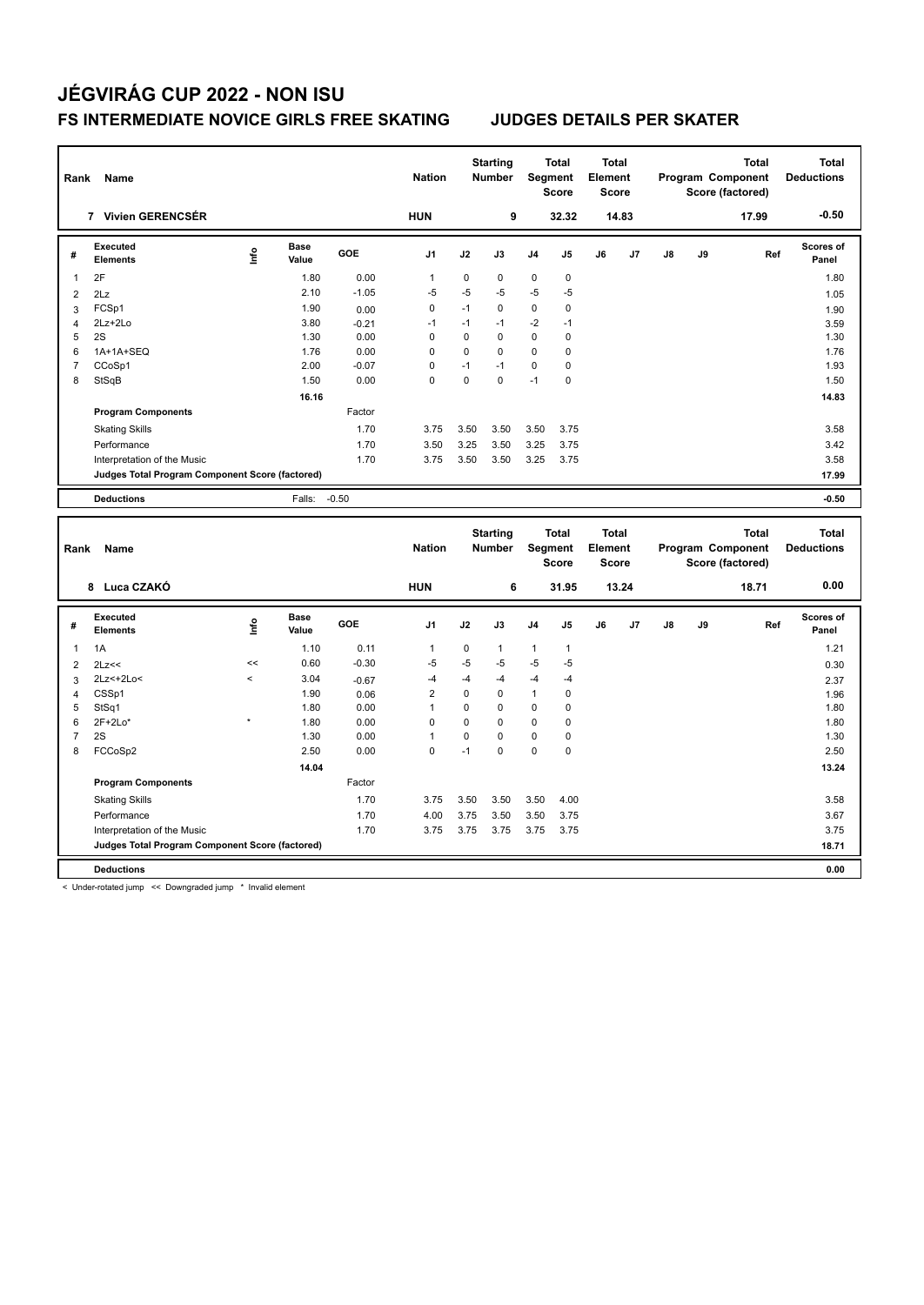| Rank           | Name                                            |                          |                      |            | <b>Nation</b>  |             | <b>Starting</b><br><b>Number</b> |                | <b>Total</b><br><b>Segment</b><br><b>Score</b> | <b>Total</b><br>Element<br><b>Score</b> |       |    |    | <b>Total</b><br>Program Component<br>Score (factored) |     | <b>Total</b><br><b>Deductions</b> |
|----------------|-------------------------------------------------|--------------------------|----------------------|------------|----------------|-------------|----------------------------------|----------------|------------------------------------------------|-----------------------------------------|-------|----|----|-------------------------------------------------------|-----|-----------------------------------|
|                | 7 Vivien GERENCSÉR                              |                          |                      |            | <b>HUN</b>     |             | 9                                |                | 32.32                                          |                                         | 14.83 |    |    | 17.99                                                 |     | $-0.50$                           |
| #              | Executed<br><b>Elements</b>                     | lnfo                     | <b>Base</b><br>Value | <b>GOE</b> | J1             | J2          | J3                               | J <sub>4</sub> | J5                                             | J6                                      | J7    | J8 | J9 |                                                       | Ref | Scores of<br>Panel                |
| 1              | 2F                                              |                          | 1.80                 | 0.00       | $\mathbf{1}$   | $\mathbf 0$ | 0                                | $\mathbf 0$    | $\mathbf 0$                                    |                                         |       |    |    |                                                       |     | 1.80                              |
| $\overline{2}$ | 2Lz                                             |                          | 2.10                 | $-1.05$    | $-5$           | -5          | -5                               | $-5$           | -5                                             |                                         |       |    |    |                                                       |     | 1.05                              |
| 3              | FCSp1                                           |                          | 1.90                 | 0.00       | $\mathbf 0$    | $-1$        | 0                                | $\mathbf 0$    | $\mathbf 0$                                    |                                         |       |    |    |                                                       |     | 1.90                              |
| $\overline{4}$ | 2Lz+2Lo                                         |                          | 3.80                 | $-0.21$    | $-1$           | $-1$        | $-1$                             | $-2$           | $-1$                                           |                                         |       |    |    |                                                       |     | 3.59                              |
| 5              | 2S                                              |                          | 1.30                 | 0.00       | $\mathbf 0$    | $\Omega$    | $\mathbf 0$                      | $\mathbf 0$    | $\mathbf 0$                                    |                                         |       |    |    |                                                       |     | 1.30                              |
| 6              | 1A+1A+SEQ                                       |                          | 1.76                 | 0.00       | $\mathbf 0$    | $\mathbf 0$ | 0                                | $\mathbf 0$    | $\mathbf 0$                                    |                                         |       |    |    |                                                       |     | 1.76                              |
| $\overline{7}$ | CCoSp1                                          |                          | 2.00                 | $-0.07$    | $\pmb{0}$      | $-1$        | $-1$                             | 0              | $\mathbf 0$                                    |                                         |       |    |    |                                                       |     | 1.93                              |
| 8              | StSqB                                           |                          | 1.50                 | 0.00       | $\mathbf 0$    | $\mathbf 0$ | 0                                | $-1$           | $\mathbf 0$                                    |                                         |       |    |    |                                                       |     | 1.50                              |
|                |                                                 |                          | 16.16                |            |                |             |                                  |                |                                                |                                         |       |    |    |                                                       |     | 14.83                             |
|                | <b>Program Components</b>                       |                          |                      | Factor     |                |             |                                  |                |                                                |                                         |       |    |    |                                                       |     |                                   |
|                | <b>Skating Skills</b>                           |                          |                      | 1.70       | 3.75           | 3.50        | 3.50                             | 3.50           | 3.75                                           |                                         |       |    |    |                                                       |     | 3.58                              |
|                | Performance                                     |                          |                      | 1.70       | 3.50           | 3.25        | 3.50                             | 3.25           | 3.75                                           |                                         |       |    |    |                                                       |     | 3.42                              |
|                | Interpretation of the Music                     |                          |                      | 1.70       | 3.75           | 3.50        | 3.50                             | 3.25           | 3.75                                           |                                         |       |    |    |                                                       |     | 3.58                              |
|                | Judges Total Program Component Score (factored) |                          |                      |            |                |             |                                  |                |                                                |                                         |       |    |    |                                                       |     | 17.99                             |
|                | <b>Deductions</b>                               |                          | Falls:               | $-0.50$    |                |             |                                  |                |                                                |                                         |       |    |    |                                                       |     | $-0.50$                           |
|                |                                                 |                          |                      |            |                |             |                                  |                |                                                |                                         |       |    |    |                                                       |     |                                   |
|                |                                                 |                          |                      |            |                |             |                                  |                |                                                |                                         |       |    |    |                                                       |     |                                   |
|                |                                                 |                          |                      |            |                |             | <b>Starting</b>                  |                | <b>Total</b>                                   | <b>Total</b>                            |       |    |    | <b>Total</b>                                          |     | <b>Total</b>                      |
| Rank           | Name                                            |                          |                      |            | <b>Nation</b>  |             | <b>Number</b>                    |                | Segment                                        | Element                                 |       |    |    | Program Component                                     |     | <b>Deductions</b>                 |
|                |                                                 |                          |                      |            |                |             |                                  |                | <b>Score</b>                                   | <b>Score</b>                            |       |    |    | Score (factored)                                      |     |                                   |
|                | 8 Luca CZAKÓ                                    |                          |                      |            | <b>HUN</b>     |             | 6                                |                | 31.95                                          |                                         | 13.24 |    |    | 18.71                                                 |     | 0.00                              |
|                |                                                 |                          |                      |            |                |             |                                  |                |                                                |                                         |       |    |    |                                                       |     |                                   |
| #              | <b>Executed</b><br><b>Elements</b>              | ١nf٥                     | <b>Base</b><br>Value | GOE        | J <sub>1</sub> | J2          | J3                               | J <sub>4</sub> | J5                                             | J6                                      | J7    | J8 | J9 |                                                       | Ref | Scores of<br>Panel                |
| $\mathbf{1}$   | 1A                                              |                          | 1.10                 | 0.11       | $\mathbf{1}$   | 0           | 1                                | $\mathbf{1}$   | $\mathbf{1}$                                   |                                         |       |    |    |                                                       |     | 1.21                              |
| 2              | 2Lz<<                                           | <<                       | 0.60                 | $-0.30$    | $-5$           | -5          | -5                               | $-5$           | -5                                             |                                         |       |    |    |                                                       |     | 0.30                              |
| 3              | 2Lz<+2Lo<                                       | $\overline{\phantom{a}}$ | 3.04                 | $-0.67$    | -4             | -4          | -4                               | $-4$           | -4                                             |                                         |       |    |    |                                                       |     |                                   |
| 4              | CSSp1                                           |                          | 1.90                 | 0.06       | $\overline{2}$ | $\mathbf 0$ | 0                                | $\mathbf{1}$   | $\mathbf 0$                                    |                                         |       |    |    |                                                       |     | 2.37<br>1.96                      |
| 5              | StSq1                                           |                          | 1.80                 | 0.00       | $\mathbf{1}$   | $\mathbf 0$ | 0                                | $\mathbf 0$    | $\mathbf 0$                                    |                                         |       |    |    |                                                       |     | 1.80                              |
| 6              | $2F+2Lo*$                                       | $\star$                  | 1.80                 | 0.00       | $\mathbf 0$    | $\mathbf 0$ | 0                                | $\pmb{0}$      | $\mathbf 0$                                    |                                         |       |    |    |                                                       |     | 1.80                              |
| $\overline{7}$ | 2S                                              |                          | 1.30                 | 0.00       | $\mathbf{1}$   | $\mathbf 0$ | 0                                | 0              | $\mathbf 0$                                    |                                         |       |    |    |                                                       |     | 1.30                              |
| 8              | FCCoSp2                                         |                          | 2.50                 | 0.00       | $\mathbf 0$    | $-1$        | 0                                | 0              | $\mathbf 0$                                    |                                         |       |    |    |                                                       |     | 2.50                              |
|                |                                                 |                          | 14.04                |            |                |             |                                  |                |                                                |                                         |       |    |    |                                                       |     | 13.24                             |
|                | <b>Program Components</b>                       |                          |                      | Factor     |                |             |                                  |                |                                                |                                         |       |    |    |                                                       |     |                                   |
|                |                                                 |                          |                      | 1.70       | 3.75           | 3.50        | 3.50                             | 3.50           | 4.00                                           |                                         |       |    |    |                                                       |     | 3.58                              |
|                | <b>Skating Skills</b><br>Performance            |                          |                      | 1.70       | 4.00           | 3.75        | 3.50                             | 3.50           | 3.75                                           |                                         |       |    |    |                                                       |     | 3.67                              |
|                | Interpretation of the Music                     |                          |                      | 1.70       | 3.75           | 3.75        | 3.75                             | 3.75           | 3.75                                           |                                         |       |    |    |                                                       |     | 3.75                              |
|                | Judges Total Program Component Score (factored) |                          |                      |            |                |             |                                  |                |                                                |                                         |       |    |    |                                                       |     | 18.71                             |

< Under-rotated jump << Downgraded jump \* Invalid element